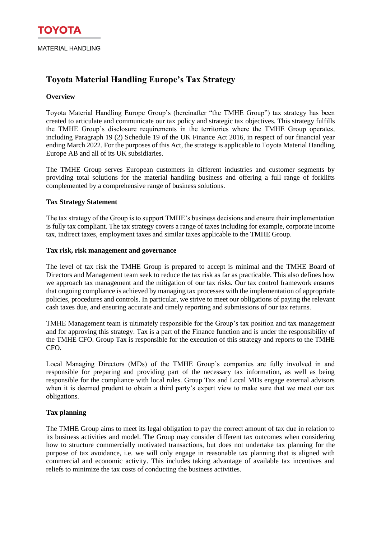# **Toyota Material Handling Europe's Tax Strategy**

## **Overview**

Toyota Material Handling Europe Group's (hereinafter "the TMHE Group") tax strategy has been created to articulate and communicate our tax policy and strategic tax objectives. This strategy fulfills the TMHE Group's disclosure requirements in the territories where the TMHE Group operates, including Paragraph 19 (2) Schedule 19 of the UK Finance Act 2016, in respect of our financial year ending March 2022. For the purposes of this Act, the strategy is applicable to Toyota Material Handling Europe AB and all of its UK subsidiaries.

The TMHE Group serves European customers in different industries and customer segments by providing total solutions for the material handling business and offering a full range of forklifts complemented by a comprehensive range of business solutions.

### **Tax Strategy Statement**

The tax strategy of the Group is to support TMHE's business decisions and ensure their implementation is fully tax compliant. The tax strategy covers a range of taxes including for example, corporate income tax, indirect taxes, employment taxes and similar taxes applicable to the TMHE Group.

### **Tax risk, risk management and governance**

The level of tax risk the TMHE Group is prepared to accept is minimal and the TMHE Board of Directors and Management team seek to reduce the tax risk as far as practicable. This also defines how we approach tax management and the mitigation of our tax risks. Our tax control framework ensures that ongoing compliance is achieved by managing tax processes with the implementation of appropriate policies, procedures and controls. In particular, we strive to meet our obligations of paying the relevant cash taxes due, and ensuring accurate and timely reporting and submissions of our tax returns.

TMHE Management team is ultimately responsible for the Group's tax position and tax management and for approving this strategy. Tax is a part of the Finance function and is under the responsibility of the TMHE CFO. Group Tax is responsible for the execution of this strategy and reports to the TMHE CFO.

Local Managing Directors (MDs) of the TMHE Group's companies are fully involved in and responsible for preparing and providing part of the necessary tax information, as well as being responsible for the compliance with local rules. Group Tax and Local MDs engage external advisors when it is deemed prudent to obtain a third party's expert view to make sure that we meet our tax obligations.

### **Tax planning**

The TMHE Group aims to meet its legal obligation to pay the correct amount of tax due in relation to its business activities and model. The Group may consider different tax outcomes when considering how to structure commercially motivated transactions, but does not undertake tax planning for the purpose of tax avoidance, i.e. we will only engage in reasonable tax planning that is aligned with commercial and economic activity. This includes taking advantage of available tax incentives and reliefs to minimize the tax costs of conducting the business activities.